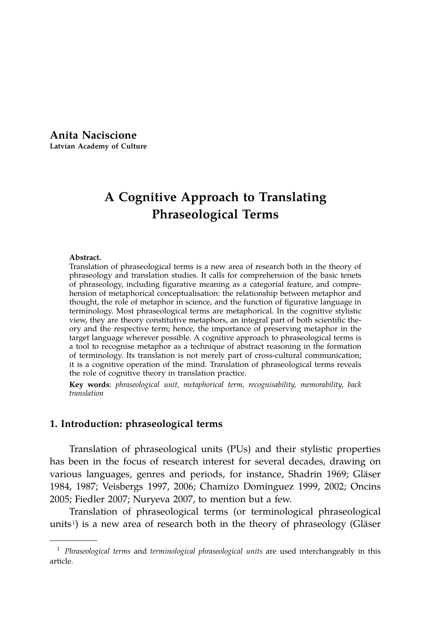**Anita Naciscione Latvian Academy of Culture**

# **A Cognitive Approach to Translating Phraseological Terms**

#### **Abstract.**

Translation of phraseological terms is a new area of research both in the theory of phraseology and translation studies. It calls for comprehension of the basic tenets of phraseology, including figurative meaning as a categorial feature, and comprehension of metaphorical conceptualisation: the relationship between metaphor and thought, the role of metaphor in science, and the function of figurative language in terminology. Most phraseological terms are metaphorical. In the cognitive stylistic view, they are theory constitutive metaphors, an integral part of both scientific theory and the respective term; hence, the importance of preserving metaphor in the target language wherever possible. A cognitive approach to phraseological terms is a tool to recognise metaphor as a technique of abstract reasoning in the formation of terminology. Its translation is not merely part of cross-cultural communication; it is a cognitive operation of the mind. Translation of phraseological terms reveals the role of cognitive theory in translation practice.

**Key words**: *phraseological unit, metaphorical term, recognisability, memorability, back translation*

### **1. Introduction: phraseological terms**

Translation of phraseological units (PUs) and their stylistic properties has been in the focus of research interest for several decades, drawing on various languages, genres and periods, for instance, Shadrin 1969; Gläser 1984, 1987; Veisbergs 1997, 2006; Chamizo Domínguez 1999, 2002; Oncins 2005; Fiedler 2007; Nuryeva 2007, to mention but a few.

Translation of phraseological terms (or terminological phraseological units<sup>1</sup>) is a new area of research both in the theory of phraseology (Gläser

<sup>1</sup> *Phraseological terms* and *terminological phraseological units* are used interchangeably in this article.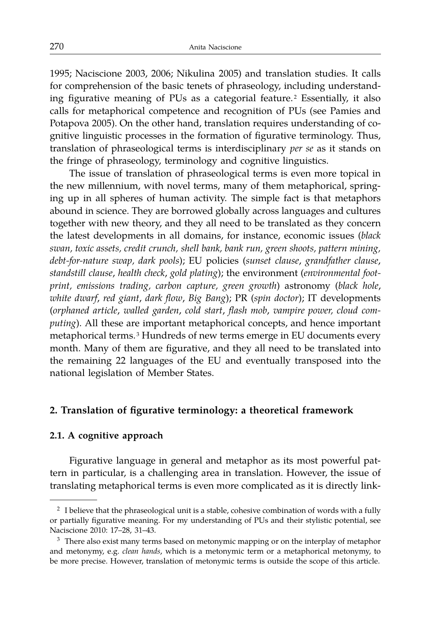1995; Naciscione 2003, 2006; Nikulina 2005) and translation studies. It calls for comprehension of the basic tenets of phraseology, including understanding figurative meaning of PUs as a categorial feature.<sup>2</sup> Essentially, it also calls for metaphorical competence and recognition of PUs (see Pamies and Potapova 2005). On the other hand, translation requires understanding of cognitive linguistic processes in the formation of figurative terminology. Thus, translation of phraseological terms is interdisciplinary *per se* as it stands on the fringe of phraseology, terminology and cognitive linguistics.

The issue of translation of phraseological terms is even more topical in the new millennium, with novel terms, many of them metaphorical, springing up in all spheres of human activity. The simple fact is that metaphors abound in science. They are borrowed globally across languages and cultures together with new theory, and they all need to be translated as they concern the latest developments in all domains, for instance, economic issues (*black swan, toxic assets, credit crunch, shell bank, bank run, green shoots, pattern mining, debt-for-nature swap, dark pools*); EU policies (*sunset clause*, *grandfather clause*, *standstill clause*, *health check*, *gold plating*); the environment (*environmental footprint, emissions trading, carbon capture, green growth*) astronomy (*black hole*, *white dwarf*, *red giant*, *dark flow*, *Big Bang*); PR (*spin doctor*); IT developments (*orphaned article*, *walled garden*, *cold start*, *flash mob*, *vampire power, cloud computing*). All these are important metaphorical concepts, and hence important metaphorical terms. <sup>3</sup> Hundreds of new terms emerge in EU documents every month. Many of them are figurative, and they all need to be translated into the remaining 22 languages of the EU and eventually transposed into the national legislation of Member States.

### **2. Translation of figurative terminology: a theoretical framework**

### **2.1. A cognitive approach**

Figurative language in general and metaphor as its most powerful pattern in particular, is a challenging area in translation. However, the issue of translating metaphorical terms is even more complicated as it is directly link-

 $2$  I believe that the phraseological unit is a stable, cohesive combination of words with a fully or partially figurative meaning. For my understanding of PUs and their stylistic potential, see Naciscione 2010: 17–28, 31–43.

<sup>&</sup>lt;sup>3</sup> There also exist many terms based on metonymic mapping or on the interplay of metaphor and metonymy, e.g. *clean hands*, which is a metonymic term or a metaphorical metonymy, to be more precise. However, translation of metonymic terms is outside the scope of this article.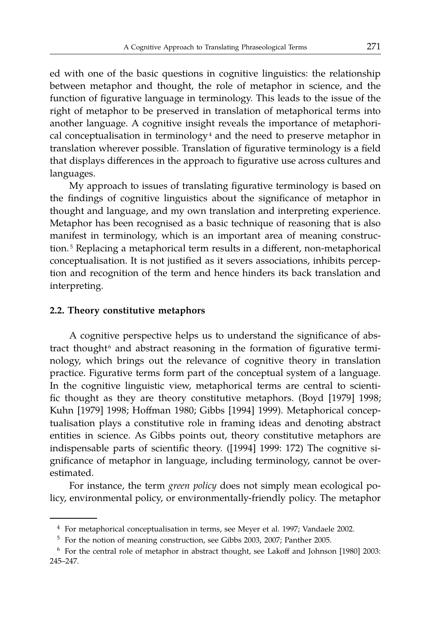ed with one of the basic questions in cognitive linguistics: the relationship between metaphor and thought, the role of metaphor in science, and the function of figurative language in terminology. This leads to the issue of the right of metaphor to be preserved in translation of metaphorical terms into another language. A cognitive insight reveals the importance of metaphorical conceptualisation in terminology<sup>4</sup> and the need to preserve metaphor in translation wherever possible. Translation of figurative terminology is a field that displays differences in the approach to figurative use across cultures and languages.

My approach to issues of translating figurative terminology is based on the findings of cognitive linguistics about the significance of metaphor in thought and language, and my own translation and interpreting experience. Metaphor has been recognised as a basic technique of reasoning that is also manifest in terminology, which is an important area of meaning construction. <sup>5</sup> Replacing a metaphorical term results in a different, non-metaphorical conceptualisation. It is not justified as it severs associations, inhibits perception and recognition of the term and hence hinders its back translation and interpreting.

### **2.2. Theory constitutive metaphors**

A cognitive perspective helps us to understand the significance of abstract thought<sup>6</sup> and abstract reasoning in the formation of figurative terminology, which brings out the relevance of cognitive theory in translation practice. Figurative terms form part of the conceptual system of a language. In the cognitive linguistic view, metaphorical terms are central to scientific thought as they are theory constitutive metaphors. (Boyd [1979] 1998; Kuhn [1979] 1998; Hoffman 1980; Gibbs [1994] 1999). Metaphorical conceptualisation plays a constitutive role in framing ideas and denoting abstract entities in science. As Gibbs points out, theory constitutive metaphors are indispensable parts of scientific theory. ([1994] 1999: 172) The cognitive significance of metaphor in language, including terminology, cannot be overestimated.

For instance, the term *green policy* does not simply mean ecological policy, environmental policy, or environmentally-friendly policy. The metaphor

<sup>4</sup> For metaphorical conceptualisation in terms, see Meyer et al. 1997; Vandaele 2002.

<sup>5</sup> For the notion of meaning construction, see Gibbs 2003, 2007; Panther 2005.

<sup>6</sup> For the central role of metaphor in abstract thought, see Lakoff and Johnson [1980] 2003: 245–247.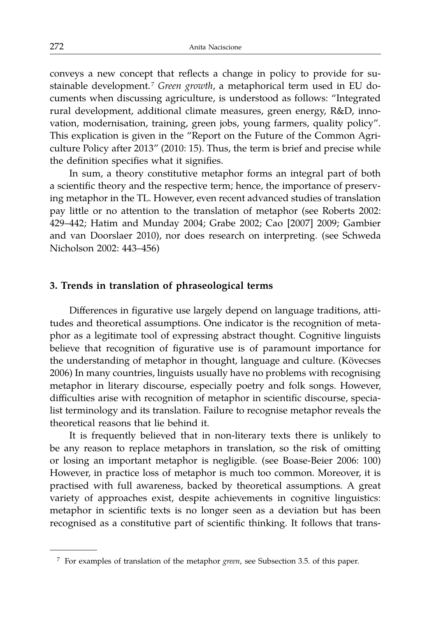conveys a new concept that reflects a change in policy to provide for sustainable development.<sup>7</sup> *Green growth*, a metaphorical term used in EU documents when discussing agriculture, is understood as follows: "Integrated rural development, additional climate measures, green energy, R&D, innovation, modernisation, training, green jobs, young farmers, quality policy". This explication is given in the "Report on the Future of the Common Agriculture Policy after 2013" (2010: 15). Thus, the term is brief and precise while the definition specifies what it signifies.

In sum, a theory constitutive metaphor forms an integral part of both a scientific theory and the respective term; hence, the importance of preserving metaphor in the TL. However, even recent advanced studies of translation pay little or no attention to the translation of metaphor (see Roberts 2002: 429–442; Hatim and Munday 2004; Grabe 2002; Cao [2007] 2009; Gambier and van Doorslaer 2010), nor does research on interpreting. (see Schweda Nicholson 2002: 443–456)

### **3. Trends in translation of phraseological terms**

Differences in figurative use largely depend on language traditions, attitudes and theoretical assumptions. One indicator is the recognition of metaphor as a legitimate tool of expressing abstract thought. Cognitive linguists believe that recognition of figurative use is of paramount importance for the understanding of metaphor in thought, language and culture. (Kövecses 2006) In many countries, linguists usually have no problems with recognising metaphor in literary discourse, especially poetry and folk songs. However, difficulties arise with recognition of metaphor in scientific discourse, specialist terminology and its translation. Failure to recognise metaphor reveals the theoretical reasons that lie behind it.

It is frequently believed that in non-literary texts there is unlikely to be any reason to replace metaphors in translation, so the risk of omitting or losing an important metaphor is negligible. (see Boase-Beier 2006: 100) However, in practice loss of metaphor is much too common. Moreover, it is practised with full awareness, backed by theoretical assumptions. A great variety of approaches exist, despite achievements in cognitive linguistics: metaphor in scientific texts is no longer seen as a deviation but has been recognised as a constitutive part of scientific thinking. It follows that trans-

<sup>7</sup> For examples of translation of the metaphor *green*, see Subsection 3.5. of this paper.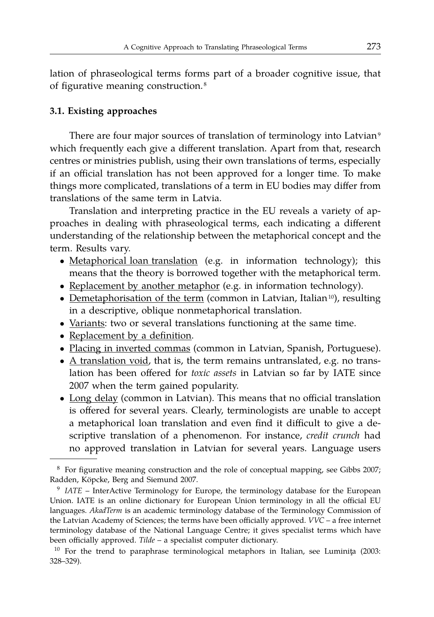lation of phraseological terms forms part of a broader cognitive issue, that of figurative meaning construction. <sup>8</sup>

### **3.1. Existing approaches**

There are four major sources of translation of terminology into Latvian<sup>9</sup> which frequently each give a different translation. Apart from that, research centres or ministries publish, using their own translations of terms, especially if an official translation has not been approved for a longer time. To make things more complicated, translations of a term in EU bodies may differ from translations of the same term in Latvia.

Translation and interpreting practice in the EU reveals a variety of approaches in dealing with phraseological terms, each indicating a different understanding of the relationship between the metaphorical concept and the term. Results vary.

- Metaphorical loan translation (e.g. in information technology); this means that the theory is borrowed together with the metaphorical term.
- Replacement by another metaphor (e.g. in information technology).
- Demetaphorisation of the term (common in Latvian, Italian<sup>10</sup>), resulting in a descriptive, oblique nonmetaphorical translation.
- Variants: two or several translations functioning at the same time.
- Replacement by a definition.
- *•* Placing in inverted commas (common in Latvian, Spanish, Portuguese).
- A translation void, that is, the term remains untranslated, e.g. no translation has been offered for *toxic assets* in Latvian so far by IATE since 2007 when the term gained popularity.
- *•* Long delay (common in Latvian). This means that no official translation is offered for several years. Clearly, terminologists are unable to accept a metaphorical loan translation and even find it difficult to give a descriptive translation of a phenomenon. For instance, *credit crunch* had no approved translation in Latvian for several years. Language users

<sup>&</sup>lt;sup>8</sup> For figurative meaning construction and the role of conceptual mapping, see Gibbs 2007; Radden, Köpcke, Berg and Siemund 2007.

<sup>&</sup>lt;sup>9</sup> IATE – InterActive Terminology for Europe, the terminology database for the European Union. IATE is an online dictionary for European Union terminology in all the official EU languages. *AkadTerm* is an academic terminology database of the Terminology Commission of the Latvian Academy of Sciences; the terms have been officially approved. *VVC* – a free internet terminology database of the National Language Centre; it gives specialist terms which have been officially approved. *Tilde* – a specialist computer dictionary.

 $10$  For the trend to paraphrase terminological metaphors in Italian, see Luminita (2003: 328–329).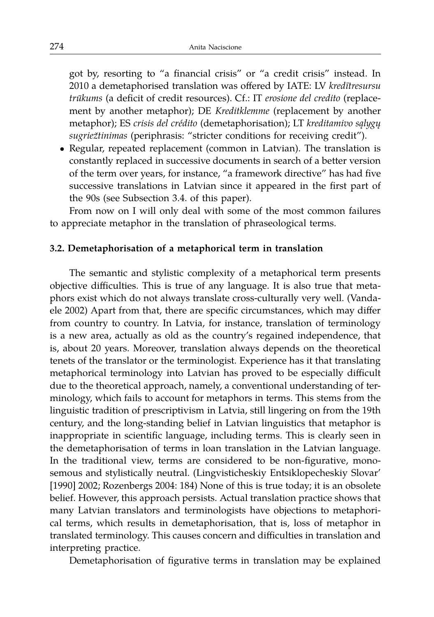got by, resorting to "a financial crisis" or "a credit crisis" instead. In 2010 a demetaphorised translation was offered by IATE: LV *kredītresursu trūkums* (a deficit of credit resources). Cf.: IT *erosione del credito* (replacement by another metaphor); DE *Kreditklemme* (replacement by another metaphor); ES *crisis del credito ´* (demetaphorisation); LT *kreditamivo sąlygų sugriežtinimas* (periphrasis: "stricter conditions for receiving credit").

*•* Regular, repeated replacement (common in Latvian). The translation is constantly replaced in successive documents in search of a better version of the term over years, for instance, "a framework directive" has had five successive translations in Latvian since it appeared in the first part of the 90s (see Subsection 3.4. of this paper).

From now on I will only deal with some of the most common failures to appreciate metaphor in the translation of phraseological terms.

### **3.2. Demetaphorisation of a metaphorical term in translation**

The semantic and stylistic complexity of a metaphorical term presents objective difficulties. This is true of any language. It is also true that metaphors exist which do not always translate cross-culturally very well. (Vandaele 2002) Apart from that, there are specific circumstances, which may differ from country to country. In Latvia, for instance, translation of terminology is a new area, actually as old as the country's regained independence, that is, about 20 years. Moreover, translation always depends on the theoretical tenets of the translator or the terminologist. Experience has it that translating metaphorical terminology into Latvian has proved to be especially difficult due to the theoretical approach, namely, a conventional understanding of terminology, which fails to account for metaphors in terms. This stems from the linguistic tradition of prescriptivism in Latvia, still lingering on from the 19th century, and the long-standing belief in Latvian linguistics that metaphor is inappropriate in scientific language, including terms. This is clearly seen in the demetaphorisation of terms in loan translation in the Latvian language. In the traditional view, terms are considered to be non-figurative, monosemous and stylistically neutral. (Lingvisticheskiy Entsiklopecheskiy Slovar' [1990] 2002; Rozenbergs 2004: 184) None of this is true today; it is an obsolete belief. However, this approach persists. Actual translation practice shows that many Latvian translators and terminologists have objections to metaphorical terms, which results in demetaphorisation, that is, loss of metaphor in translated terminology. This causes concern and difficulties in translation and interpreting practice.

Demetaphorisation of figurative terms in translation may be explained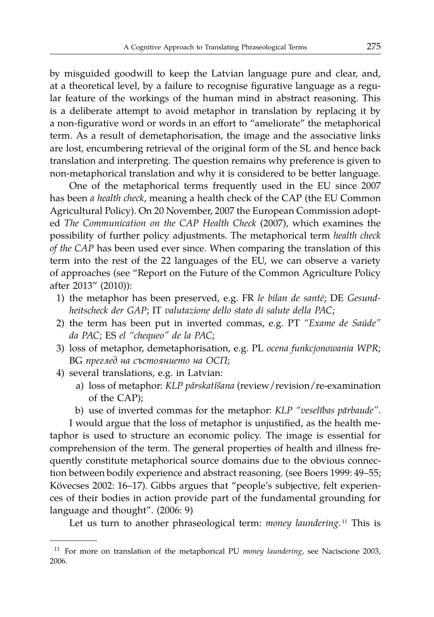by misguided goodwill to keep the Latvian language pure and clear, and, at a theoretical level, by a failure to recognise figurative language as a regular feature of the workings of the human mind in abstract reasoning. This is a deliberate attempt to avoid metaphor in translation by replacing it by a non-figurative word or words in an effort to "ameliorate" the metaphorical term. As a result of demetaphorisation, the image and the associative links are lost, encumbering retrieval of the original form of the SL and hence back translation and interpreting. The question remains why preference is given to non-metaphorical translation and why it is considered to be better language.

One of the metaphorical terms frequently used in the EU since 2007 has been *a health check*, meaning a health check of the CAP (the EU Common Agricultural Policy). On 20 November, 2007 the European Commission adopted *The Communication on the CAP Health Check* (2007), which examines the possibility of further policy adjustments. The metaphorical term *health check of the CAP* has been used ever since. When comparing the translation of this term into the rest of the 22 languages of the EU, we can observe a variety of approaches (see "Report on the Future of the Common Agriculture Policy after 2013" (2010)):

- 1) the metaphor has been preserved, e.g. FR *le bilan de sante´*; DE *Gesundheitscheck der GAP*; IT *valutazione dello stato di salute della PAC*;
- 2) the term has been put in inverted commas, e.g. PT *"Exame de Saude" ´ da PAC*; ES *el "chequeo" de la PAC*;
- 3) loss of metaphor, demetaphorisation, e.g. PL *ocena funkcjonowania WPR*; BG *преглед на състоянието на ОСП*;
- 4) several translations, e.g. in Latvian:
	- a) loss of metaphor: *KLP pārskatīšana* (review/revision/re-examination of the CAP);
	- b) use of inverted commas for the metaphor: *KLP "veselības pārbaude"*.

I would argue that the loss of metaphor is unjustified, as the health metaphor is used to structure an economic policy. The image is essential for comprehension of the term. The general properties of health and illness frequently constitute metaphorical source domains due to the obvious connection between bodily experience and abstract reasoning. (see Boers 1999: 49–55; Kövecses 2002: 16–17). Gibbs argues that "people's subjective, felt experiences of their bodies in action provide part of the fundamental grounding for language and thought". (2006: 9)

Let us turn to another phraseological term: *money laundering*. <sup>11</sup> This is

<sup>11</sup> For more on translation of the metaphorical PU *money laundering*, see Naciscione 2003, 2006.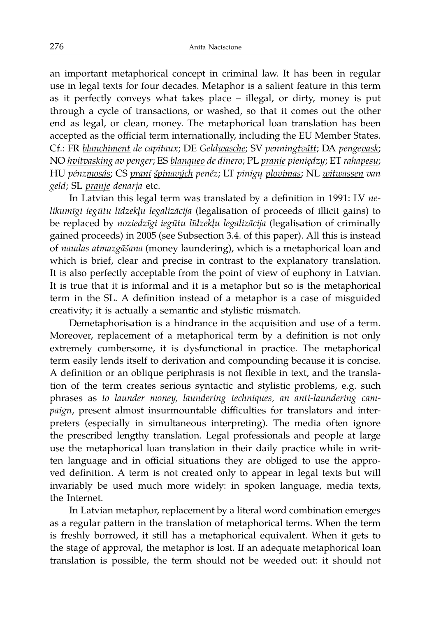an important metaphorical concept in criminal law. It has been in regular use in legal texts for four decades. Metaphor is a salient feature in this term as it perfectly conveys what takes place – illegal, or dirty, money is put through a cycle of transactions, or washed, so that it comes out the other end as legal, or clean, money. The metaphorical loan translation has been accepted as the official term internationally, including the EU Member States. Cf.: FR *blanchiment de capitaux*; DE *Geldwasche*; SV *penningtvatt ¨* ; DA *pengevask*; NO *hvitvasking av penger*; ES *blanqueo de dinero*; PL *pranie pieniędzy*; ET *rahapesu*; HU *penzmos ´ as´* ; CS *pran´ı spinav ˇ ych ´ penezˇ* ; LT *pinigų plovimas*; NL *witwassen van geld*; SL *pranje denarja* etc.

In Latvian this legal term was translated by a definition in 1991: LV *nelikumīgi iegūtu līdzekļu legalizācija* (legalisation of proceeds of illicit gains) to be replaced by noziedzīgi iegūtu līdzekļu legalizācija (legalisation of criminally gained proceeds) in 2005 (see Subsection 3.4. of this paper). All this is instead of naudas atmazgāšana (money laundering), which is a metaphorical loan and which is brief, clear and precise in contrast to the explanatory translation. It is also perfectly acceptable from the point of view of euphony in Latvian. It is true that it is informal and it is a metaphor but so is the metaphorical term in the SL. A definition instead of a metaphor is a case of misguided creativity; it is actually a semantic and stylistic mismatch.

Demetaphorisation is a hindrance in the acquisition and use of a term. Moreover, replacement of a metaphorical term by a definition is not only extremely cumbersome, it is dysfunctional in practice. The metaphorical term easily lends itself to derivation and compounding because it is concise. A definition or an oblique periphrasis is not flexible in text, and the translation of the term creates serious syntactic and stylistic problems, e.g. such phrases as *to launder money, laundering techniques, an anti-laundering campaign*, present almost insurmountable difficulties for translators and interpreters (especially in simultaneous interpreting). The media often ignore the prescribed lengthy translation. Legal professionals and people at large use the metaphorical loan translation in their daily practice while in written language and in official situations they are obliged to use the approved definition. A term is not created only to appear in legal texts but will invariably be used much more widely: in spoken language, media texts, the Internet.

In Latvian metaphor, replacement by a literal word combination emerges as a regular pattern in the translation of metaphorical terms. When the term is freshly borrowed, it still has a metaphorical equivalent. When it gets to the stage of approval, the metaphor is lost. If an adequate metaphorical loan translation is possible, the term should not be weeded out: it should not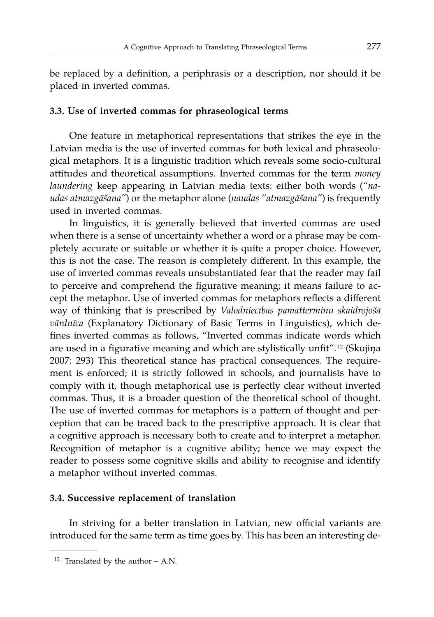be replaced by a definition, a periphrasis or a description, nor should it be placed in inverted commas.

### **3.3. Use of inverted commas for phraseological terms**

One feature in metaphorical representations that strikes the eye in the Latvian media is the use of inverted commas for both lexical and phraseological metaphors. It is a linguistic tradition which reveals some socio-cultural attitudes and theoretical assumptions. Inverted commas for the term *money laundering* keep appearing in Latvian media texts: either both words (*"naudas atmazga¯sana" ˇ* ) or the metaphor alone (*naudas "atmazga¯sana" ˇ* ) is frequently used in inverted commas.

In linguistics, it is generally believed that inverted commas are used when there is a sense of uncertainty whether a word or a phrase may be completely accurate or suitable or whether it is quite a proper choice. However, this is not the case. The reason is completely different. In this example, the use of inverted commas reveals unsubstantiated fear that the reader may fail to perceive and comprehend the figurative meaning; it means failure to accept the metaphor. Use of inverted commas for metaphors reflects a different way of thinking that is prescribed by *Valodniecības pamatterminu skaidrojošā vārdnīca* (Explanatory Dictionary of Basic Terms in Linguistics), which defines inverted commas as follows, "Inverted commas indicate words which are used in a figurative meaning and which are stylistically unfit".<sup>12</sup> (Skujina 2007: 293) This theoretical stance has practical consequences. The requirement is enforced; it is strictly followed in schools, and journalists have to comply with it, though metaphorical use is perfectly clear without inverted commas. Thus, it is a broader question of the theoretical school of thought. The use of inverted commas for metaphors is a pattern of thought and perception that can be traced back to the prescriptive approach. It is clear that a cognitive approach is necessary both to create and to interpret a metaphor. Recognition of metaphor is a cognitive ability; hence we may expect the reader to possess some cognitive skills and ability to recognise and identify a metaphor without inverted commas.

### **3.4. Successive replacement of translation**

In striving for a better translation in Latvian, new official variants are introduced for the same term as time goes by. This has been an interesting de-

<sup>&</sup>lt;sup>12</sup> Translated by the author  $-$  A.N.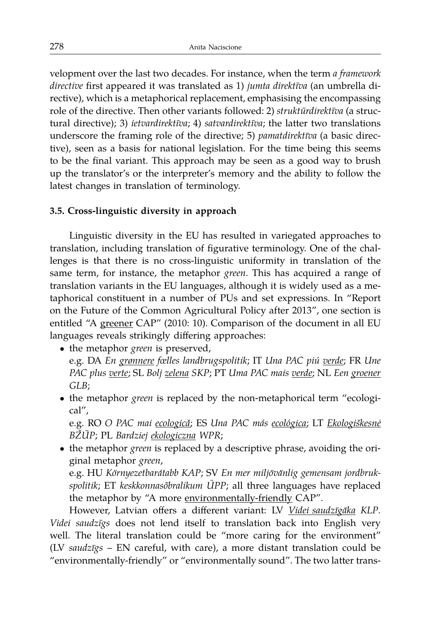velopment over the last two decades. For instance, when the term *a framework* directive first appeared it was translated as 1) *jumta direktīva* (an umbrella directive), which is a metaphorical replacement, emphasising the encompassing role of the directive. Then other variants followed: 2) *struktūrdirektīva* (a structural directive); 3) *ietvardirektīva*; 4) *satvardirektīva*; the latter two translations underscore the framing role of the directive; 5) *pamatdirektīva* (a basic directive), seen as a basis for national legislation. For the time being this seems to be the final variant. This approach may be seen as a good way to brush up the translator's or the interpreter's memory and the ability to follow the latest changes in translation of terminology.

### **3.5. Cross-linguistic diversity in approach**

Linguistic diversity in the EU has resulted in variegated approaches to translation, including translation of figurative terminology. One of the challenges is that there is no cross-linguistic uniformity in translation of the same term, for instance, the metaphor *green*. This has acquired a range of translation variants in the EU languages, although it is widely used as a metaphorical constituent in a number of PUs and set expressions. In "Report on the Future of the Common Agricultural Policy after 2013", one section is entitled "A greener CAP" (2010: 10). Comparison of the document in all EU languages reveals strikingly differing approaches:

- *•* the metaphor *green* is preserved,
- e.g. DA *En <u>grønnere</u> fœlles landbrugspolitik;* IT *Una PAC piú <u>verde</u>; FR Une PAC plus verte*; SL *Bolj zelena SKP*; PT *Uma PAC mais verde*; NL *Een groener GLB*;
- *•* the metaphor *green* is replaced by the non-metaphorical term "ecological",

e.g. RO O PAC mai ecologică; ES Una PAC más ecológica; LT Ekologiškesnė *BZˇUP¯* ; PL *Bardziej ekologiczna WPR*;

*•* the metaphor *green* is replaced by a descriptive phrase, avoiding the original metaphor *green*, e.g. HU *Kornyezetbar ¨ atabb KAP ´* ; SV *En mer miljov¨ anlig gemensam jordbruk- ¨ spolitik*; ET *keskkonnasobralikum ˜ UPP ¨* ; all three languages have replaced the metaphor by "A more environmentally-friendly CAP".

However, Latvian offers a different variant: LV *Videi saudzīgāka KLP*. Videi saudzīgs does not lend itself to translation back into English very well. The literal translation could be "more caring for the environment" (LV saudzīgs – EN careful, with care), a more distant translation could be "environmentally-friendly" or "environmentally sound". The two latter trans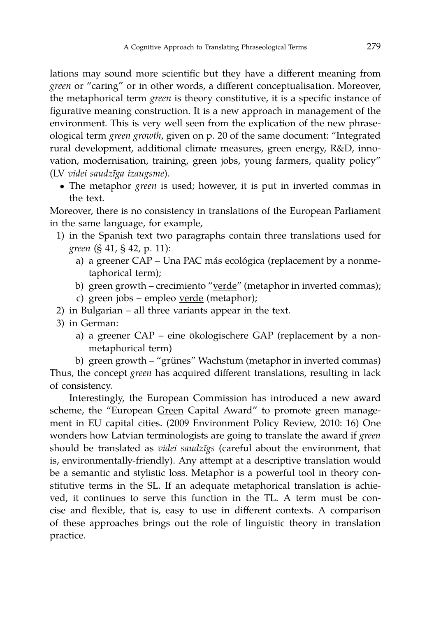lations may sound more scientific but they have a different meaning from *green* or "caring" or in other words, a different conceptualisation. Moreover, the metaphorical term *green* is theory constitutive, it is a specific instance of figurative meaning construction. It is a new approach in management of the environment. This is very well seen from the explication of the new phraseological term *green growth*, given on p. 20 of the same document: "Integrated rural development, additional climate measures, green energy, R&D, innovation, modernisation, training, green jobs, young farmers, quality policy" (LV *videi saudz¯ıga izaugsme*).

*•* The metaphor *green* is used; however, it is put in inverted commas in the text.

Moreover, there is no consistency in translations of the European Parliament in the same language, for example,

- 1) in the Spanish text two paragraphs contain three translations used for *green* (§ 41, § 42, p. 11):
	- a) a greener CAP Una PAC más ecológica (replacement by a nonmetaphorical term);
	- b) green growth crecimiento "verde" (metaphor in inverted commas);
	- c) green jobs empleo verde (metaphor);
- 2) in Bulgarian all three variants appear in the text.
- 3) in German:
	- a) a greener  $CAP -$  eine  $\frac{\partial \text{kologischer}}{\partial \text{Re}}$  (replacement by a nonmetaphorical term)

b) green growth – "grünes" Wachstum (metaphor in inverted commas) Thus, the concept *green* has acquired different translations, resulting in lack of consistency.

Interestingly, the European Commission has introduced a new award scheme, the "European Green Capital Award" to promote green management in EU capital cities. (2009 Environment Policy Review, 2010: 16) One wonders how Latvian terminologists are going to translate the award if *green* should be translated as *videi saudz¯ıgs* (careful about the environment, that is, environmentally-friendly). Any attempt at a descriptive translation would be a semantic and stylistic loss. Metaphor is a powerful tool in theory constitutive terms in the SL. If an adequate metaphorical translation is achieved, it continues to serve this function in the TL. A term must be concise and flexible, that is, easy to use in different contexts. A comparison of these approaches brings out the role of linguistic theory in translation practice.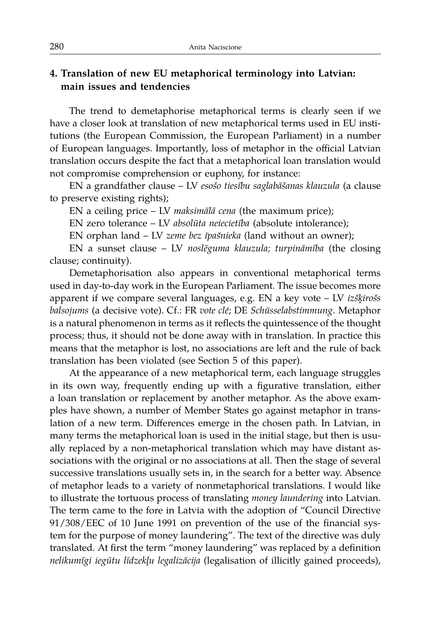## **4. Translation of new EU metaphorical terminology into Latvian: main issues and tendencies**

The trend to demetaphorise metaphorical terms is clearly seen if we have a closer look at translation of new metaphorical terms used in EU institutions (the European Commission, the European Parliament) in a number of European languages. Importantly, loss of metaphor in the official Latvian translation occurs despite the fact that a metaphorical loan translation would not compromise comprehension or euphony, for instance:

EN a grandfather clause – LV esošo tiesību saglabāšanas klauzula (a clause to preserve existing rights);

EN a ceiling price - LV *maksimālā cena* (the maximum price);

EN zero tolerance – LV *absolūta neiecietība* (absolute intolerance);

EN orphan land – LV zeme bez īpašnieka (land without an owner);

EN a sunset clause – LV noslēguma klauzula; turpināmība (the closing clause; continuity).

Demetaphorisation also appears in conventional metaphorical terms used in day-to-day work in the European Parliament. The issue becomes more apparent if we compare several languages, e.g. EN a key vote - LV *izšķirošs balsojums* (a decisive vote). Cf.: FR *vote cle´*; DE *Schusselabstimmung ¨* . Metaphor is a natural phenomenon in terms as it reflects the quintessence of the thought process; thus, it should not be done away with in translation. In practice this means that the metaphor is lost, no associations are left and the rule of back translation has been violated (see Section 5 of this paper).

At the appearance of a new metaphorical term, each language struggles in its own way, frequently ending up with a figurative translation, either a loan translation or replacement by another metaphor. As the above examples have shown, a number of Member States go against metaphor in translation of a new term. Differences emerge in the chosen path. In Latvian, in many terms the metaphorical loan is used in the initial stage, but then is usually replaced by a non-metaphorical translation which may have distant associations with the original or no associations at all. Then the stage of several successive translations usually sets in, in the search for a better way. Absence of metaphor leads to a variety of nonmetaphorical translations. I would like to illustrate the tortuous process of translating *money laundering* into Latvian. The term came to the fore in Latvia with the adoption of "Council Directive 91/308/EEC of 10 June 1991 on prevention of the use of the financial system for the purpose of money laundering". The text of the directive was duly translated. At first the term "money laundering" was replaced by a definition *nelikum¯ıgi iegutu l ¯ ¯ıdzekl¸u legalizacija ¯* (legalisation of illicitly gained proceeds),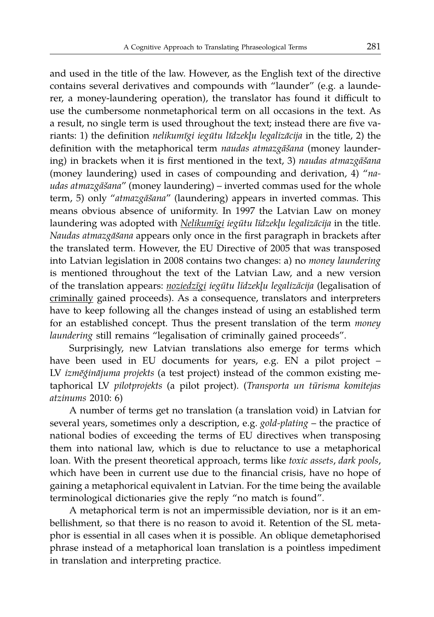and used in the title of the law. However, as the English text of the directive contains several derivatives and compounds with "launder" (e.g. a launderer, a money-laundering operation), the translator has found it difficult to use the cumbersome nonmetaphorical term on all occasions in the text. As a result, no single term is used throughout the text; instead there are five variants: 1) the definition *nelikumīgi iegūtu līdzekļu legalizācija* in the title, 2) the definition with the metaphorical term *naudas atmazgāšana* (money laundering) in brackets when it is first mentioned in the text, 3) *naudas atmazgāšana* (money laundering) used in cases of compounding and derivation, 4) "*naudas atmazgāšana"* (money laundering) – inverted commas used for the whole term, 5) only "atmazgāšana" (laundering) appears in inverted commas. This means obvious absence of uniformity. In 1997 the Latvian Law on money laundering was adopted with *Nelikumīgi iegūtu līdzekļu legalizācija* in the title. *Naudas atmazgāšana* appears only once in the first paragraph in brackets after the translated term. However, the EU Directive of 2005 that was transposed into Latvian legislation in 2008 contains two changes: a) no *money laundering* is mentioned throughout the text of the Latvian Law, and a new version of the translation appears: *noziedzīgi iegūtu līdzekļu legalizācija* (legalisation of criminally gained proceeds). As a consequence, translators and interpreters have to keep following all the changes instead of using an established term for an established concept. Thus the present translation of the term *money laundering* still remains "legalisation of criminally gained proceeds".

Surprisingly, new Latvian translations also emerge for terms which have been used in EU documents for years, e.g. EN a pilot project – LV *izmēģinājuma projekts* (a test project) instead of the common existing metaphorical LV *pilotprojekts* (a pilot project). (*Transporta un turisma komitejas ¯ atzinums* 2010: 6)

A number of terms get no translation (a translation void) in Latvian for several years, sometimes only a description, e.g. *gold-plating* – the practice of national bodies of exceeding the terms of EU directives when transposing them into national law, which is due to reluctance to use a metaphorical loan. With the present theoretical approach, terms like *toxic assets*, *dark pools*, which have been in current use due to the financial crisis, have no hope of gaining a metaphorical equivalent in Latvian. For the time being the available terminological dictionaries give the reply "no match is found".

A metaphorical term is not an impermissible deviation, nor is it an embellishment, so that there is no reason to avoid it. Retention of the SL metaphor is essential in all cases when it is possible. An oblique demetaphorised phrase instead of a metaphorical loan translation is a pointless impediment in translation and interpreting practice.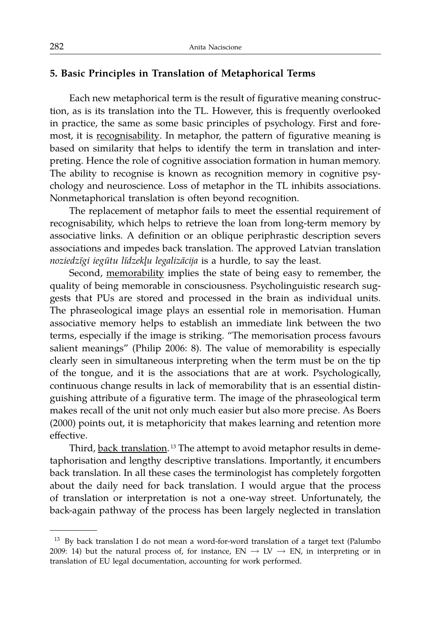## **5. Basic Principles in Translation of Metaphorical Terms**

Each new metaphorical term is the result of figurative meaning construction, as is its translation into the TL. However, this is frequently overlooked in practice, the same as some basic principles of psychology. First and foremost, it is recognisability. In metaphor, the pattern of figurative meaning is based on similarity that helps to identify the term in translation and interpreting. Hence the role of cognitive association formation in human memory. The ability to recognise is known as recognition memory in cognitive psychology and neuroscience. Loss of metaphor in the TL inhibits associations. Nonmetaphorical translation is often beyond recognition.

The replacement of metaphor fails to meet the essential requirement of recognisability, which helps to retrieve the loan from long-term memory by associative links. A definition or an oblique periphrastic description severs associations and impedes back translation. The approved Latvian translation *noziedzīgi iegūtu līdzekļu legalizācija* is a hurdle, to say the least.

Second, memorability implies the state of being easy to remember, the quality of being memorable in consciousness. Psycholinguistic research suggests that PUs are stored and processed in the brain as individual units. The phraseological image plays an essential role in memorisation. Human associative memory helps to establish an immediate link between the two terms, especially if the image is striking. "The memorisation process favours salient meanings" (Philip 2006: 8). The value of memorability is especially clearly seen in simultaneous interpreting when the term must be on the tip of the tongue, and it is the associations that are at work. Psychologically, continuous change results in lack of memorability that is an essential distinguishing attribute of a figurative term. The image of the phraseological term makes recall of the unit not only much easier but also more precise. As Boers (2000) points out, it is metaphoricity that makes learning and retention more effective.

Third*,* <u>back translation</u>. <sup>13</sup> The attempt to avoid metaphor results in demetaphorisation and lengthy descriptive translations. Importantly, it encumbers back translation. In all these cases the terminologist has completely forgotten about the daily need for back translation. I would argue that the process of translation or interpretation is not a one-way street. Unfortunately, the back-again pathway of the process has been largely neglected in translation

<sup>&</sup>lt;sup>13</sup> By back translation I do not mean a word-for-word translation of a target text (Palumbo 2009: 14) but the natural process of, for instance,  $EN \rightarrow LV \rightarrow EN$ , in interpreting or in translation of EU legal documentation, accounting for work performed.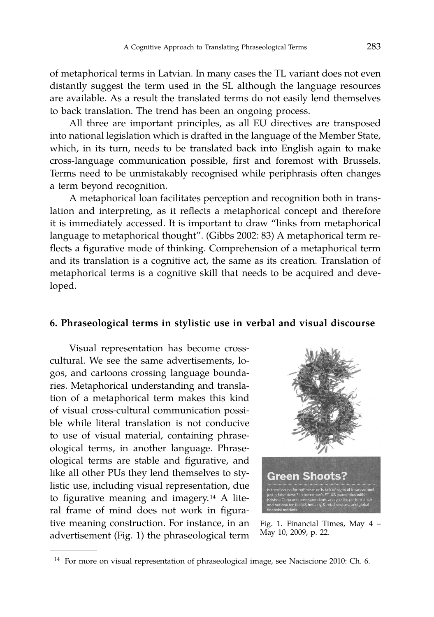of metaphorical terms in Latvian. In many cases the TL variant does not even distantly suggest the term used in the SL although the language resources are available. As a result the translated terms do not easily lend themselves to back translation. The trend has been an ongoing process.

All three are important principles, as all EU directives are transposed into national legislation which is drafted in the language of the Member State, which, in its turn, needs to be translated back into English again to make cross-language communication possible, first and foremost with Brussels. Terms need to be unmistakably recognised while periphrasis often changes a term beyond recognition.

A metaphorical loan facilitates perception and recognition both in translation and interpreting, as it reflects a metaphorical concept and therefore it is immediately accessed. It is important to draw "links from metaphorical language to metaphorical thought". (Gibbs 2002: 83) A metaphorical term reflects a figurative mode of thinking. Comprehension of a metaphorical term and its translation is a cognitive act, the same as its creation. Translation of metaphorical terms is a cognitive skill that needs to be acquired and developed.

### **6. Phraseological terms in stylistic use in verbal and visual discourse**

Visual representation has become crosscultural. We see the same advertisements, logos, and cartoons crossing language boundaries. Metaphorical understanding and translation of a metaphorical term makes this kind of visual cross-cultural communication possible while literal translation is not conducive to use of visual material, containing phraseological terms, in another language. Phraseological terms are stable and figurative, and like all other PUs they lend themselves to stylistic use, including visual representation, due to figurative meaning and imagery.<sup>14</sup> A literal frame of mind does not work in figurative meaning construction. For instance, in an advertisement (Fig. 1) the phraseological term



Fig. 1. Financial Times, May 4 – May 10, 2009, p. 22.

<sup>&</sup>lt;sup>14</sup> For more on visual representation of phraseological image, see Naciscione 2010: Ch. 6.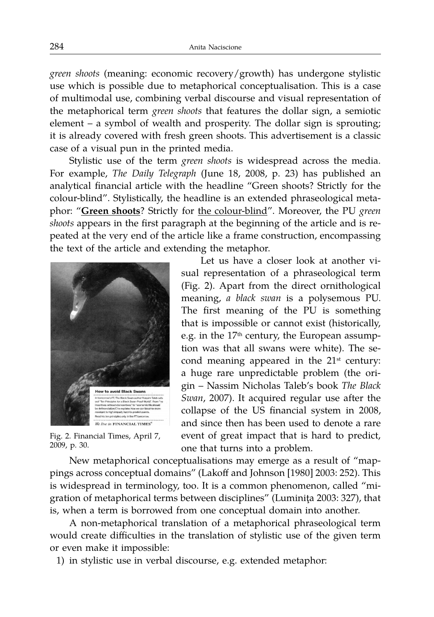*green shoots* (meaning: economic recovery/growth) has undergone stylistic use which is possible due to metaphorical conceptualisation. This is a case of multimodal use, combining verbal discourse and visual representation of the metaphorical term *green shoots* that features the dollar sign, a semiotic element – a symbol of wealth and prosperity. The dollar sign is sprouting; it is already covered with fresh green shoots. This advertisement is a classic case of a visual pun in the printed media.

Stylistic use of the term *green shoots* is widespread across the media. For example, *The Daily Telegraph* (June 18, 2008, p. 23) has published an analytical financial article with the headline "Green shoots? Strictly for the colour-blind". Stylistically, the headline is an extended phraseological metaphor: "**Green shoots**? Strictly for the colour-blind". Moreover, the PU *green shoots* appears in the first paragraph at the beginning of the article and is repeated at the very end of the article like a frame construction, encompassing the text of the article and extending the metaphor.



Fig. 2. Financial Times, April 7, 2009, p. 30.

Let us have a closer look at another visual representation of a phraseological term (Fig. 2). Apart from the direct ornithological meaning, *a black swan* is a polysemous PU. The first meaning of the PU is something that is impossible or cannot exist (historically, e.g. in the 17<sup>th</sup> century, the European assumption was that all swans were white). The second meaning appeared in the  $21<sup>st</sup>$  century: a huge rare unpredictable problem (the origin – Nassim Nicholas Taleb's book *The Black Swan*, 2007). It acquired regular use after the collapse of the US financial system in 2008, and since then has been used to denote a rare event of great impact that is hard to predict, one that turns into a problem.

New metaphorical conceptualisations may emerge as a result of "mappings across conceptual domains" (Lakoff and Johnson [1980] 2003: 252). This is widespread in terminology, too. It is a common phenomenon, called "migration of metaphorical terms between disciplines" (Luminița 2003: 327), that is, when a term is borrowed from one conceptual domain into another.

A non-metaphorical translation of a metaphorical phraseological term would create difficulties in the translation of stylistic use of the given term or even make it impossible:

1) in stylistic use in verbal discourse, e.g. extended metaphor: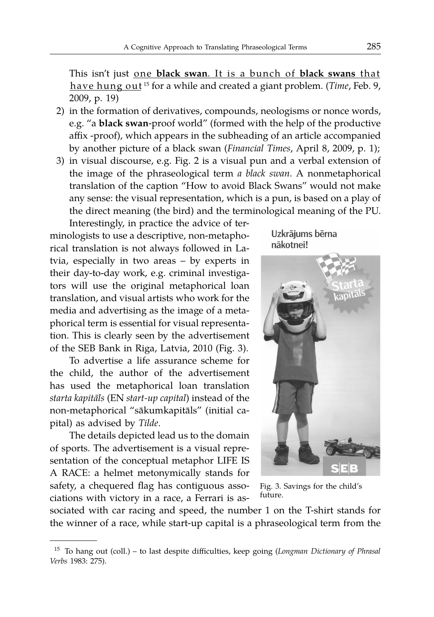This isn't just <u>one **black swan**. It is a bunch of **black swans** that</u> have hung ou t <sup>15</sup> for a while and created a giant problem. (*Time*, Feb. 9, 2009, p. 19)

- 2) in the formation of derivatives, compounds, neologisms or nonce words, e.g. "a **black swan**-proof world" (formed with the help of the productive affix -proof), which appears in the subheading of an article accompanied by another picture of a black swan (*Financial Times*, April 8, 2009, p. 1);
- 3) in visual discourse, e.g. Fig. 2 is a visual pun and a verbal extension of the image of the phraseological term *a black swan*. A nonmetaphorical translation of the caption "How to avoid Black Swans" would not make any sense: the visual representation, which is a pun, is based on a play of the direct meaning (the bird) and the terminological meaning of the PU.

Interestingly, in practice the advice of terminologists to use a descriptive, non-metaphorical translation is not always followed in Latvia, especially in two areas – by experts in their day-to-day work, e.g. criminal investigators will use the original metaphorical loan translation, and visual artists who work for the media and advertising as the image of a metaphorical term is essential for visual representation. This is clearly seen by the advertisement of the SEB Bank in Riga, Latvia, 2010 (Fig. 3).

To advertise a life assurance scheme for the child, the author of the advertisement has used the metaphorical loan translation  $starta$  *kapitāls* (EN *start-up capital*) instead of the non-metaphorical "sākumkapitāls" (initial capital) as advised by *Tilde*.

The details depicted lead us to the domain of sports. The advertisement is a visual representation of the conceptual metaphor LIFE IS A RACE: a helmet metonymically stands for safety, a chequered flag has contiguous associations with victory in a race, a Ferrari is as-

Uzkrājums bērna nākotnei!



Fig. 3. Savings for the child's future.

sociated with car racing and speed, the number 1 on the T-shirt stands for the winner of a race, while start-up capital is a phraseological term from the

<sup>15</sup> To hang out (coll.) – to last despite difficulties, keep going (*Longman Dictionary of Phrasal Verbs* 1983: 275).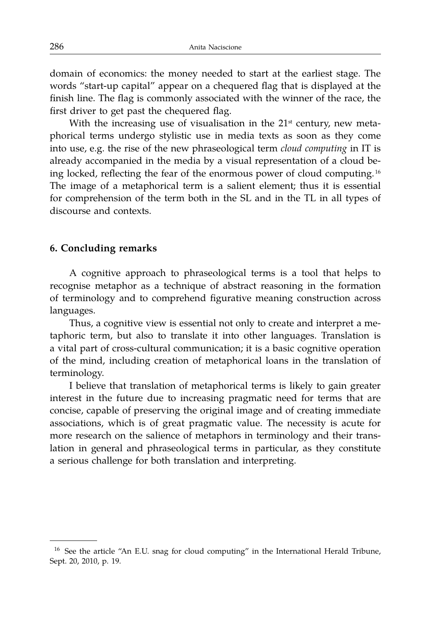domain of economics: the money needed to start at the earliest stage. The words "start-up capital" appear on a chequered flag that is displayed at the finish line. The flag is commonly associated with the winner of the race, the first driver to get past the chequered flag.

With the increasing use of visualisation in the  $21<sup>st</sup>$  century, new metaphorical terms undergo stylistic use in media texts as soon as they come into use, e.g. the rise of the new phraseological term *cloud computing* in IT is already accompanied in the media by a visual representation of a cloud being locked, reflecting the fear of the enormous power of cloud computing. <sup>16</sup> The image of a metaphorical term is a salient element; thus it is essential for comprehension of the term both in the SL and in the TL in all types of discourse and contexts.

### **6. Concluding remarks**

A cognitive approach to phraseological terms is a tool that helps to recognise metaphor as a technique of abstract reasoning in the formation of terminology and to comprehend figurative meaning construction across languages.

Thus, a cognitive view is essential not only to create and interpret a metaphoric term, but also to translate it into other languages. Translation is a vital part of cross-cultural communication; it is a basic cognitive operation of the mind, including creation of metaphorical loans in the translation of terminology.

I believe that translation of metaphorical terms is likely to gain greater interest in the future due to increasing pragmatic need for terms that are concise, capable of preserving the original image and of creating immediate associations, which is of great pragmatic value. The necessity is acute for more research on the salience of metaphors in terminology and their translation in general and phraseological terms in particular, as they constitute a serious challenge for both translation and interpreting.

<sup>&</sup>lt;sup>16</sup> See the article "An E.U. snag for cloud computing" in the International Herald Tribune, Sept. 20, 2010, p. 19.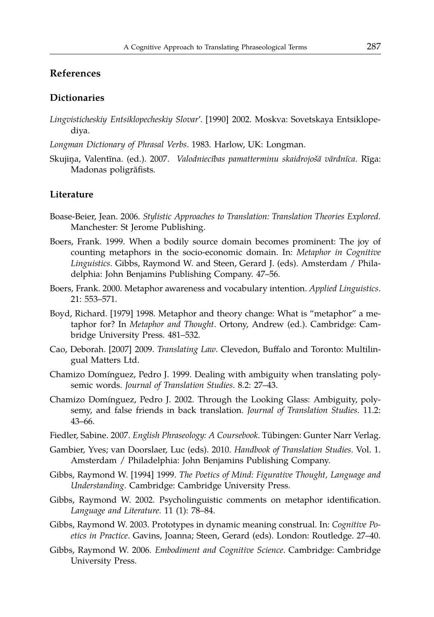### **References**

#### **Dictionaries**

- *Lingvisticheskiy Entsiklopecheskiy Slovar*'. [1990] 2002. Moskva: Sovetskaya Entsiklopediya.
- *Longman Dictionary of Phrasal Verbs*. 1983. Harlow, UK: Longman.
- Skujiņa, Valentīna. (ed.). 2007. *Valodniecības pamatterminu skaidrojošā vārdnīca*. Rīga: Madonas poligrāfists.

### **Literature**

- Boase-Beier, Jean. 2006. *Stylistic Approaches to Translation: Translation Theories Explored.* Manchester: St Jerome Publishing.
- Boers, Frank. 1999. When a bodily source domain becomes prominent: The joy of counting metaphors in the socio-economic domain. In: *Metaphor in Cognitive Linguistics*. Gibbs, Raymond W. and Steen, Gerard J. (eds). Amsterdam / Philadelphia: John Benjamins Publishing Company. 47–56.
- Boers, Frank. 2000. Metaphor awareness and vocabulary intention. *Applied Linguistics*. 21: 553–571.
- Boyd, Richard. [1979] 1998. Metaphor and theory change: What is "metaphor" a metaphor for? In *Metaphor and Thought*. Ortony, Andrew (ed.). Cambridge: Cambridge University Press. 481–532.
- Cao, Deborah. [2007] 2009. *Translating Law*. Clevedon, Buffalo and Toronto: Multilingual Matters Ltd.
- Chamizo Domínguez, Pedro J. 1999. Dealing with ambiguity when translating polysemic words. *Journal of Translation Studies*. 8.2: 27–43.
- Chamizo Domínguez, Pedro J. 2002. Through the Looking Glass: Ambiguity, polysemy, and false friends in back translation. *Journal of Translation Studies*. 11.2: 43–66.
- Fiedler, Sabine. 2007. *English Phraseology: A Coursebook*. Tubingen: Gunter Narr Verlag. ¨
- Gambier, Yves; van Doorslaer, Luc (eds). 2010. *Handbook of Translation Studies.* Vol. 1. Amsterdam / Philadelphia: John Benjamins Publishing Company.
- Gibbs, Raymond W. [1994] 1999. *The Poetics of Mind: Figurative Thought, Language and Understanding*. Cambridge: Cambridge University Press.
- Gibbs, Raymond W. 2002. Psycholinguistic comments on metaphor identification. *Language and Literature.* 11 (1): 78–84.
- Gibbs, Raymond W. 2003. Prototypes in dynamic meaning construal. In: *Cognitive Poetics in Practice*. Gavins, Joanna; Steen, Gerard (eds). London: Routledge. 27–40.
- Gibbs, Raymond W. 2006. *Embodiment and Cognitive Science*. Cambridge: Cambridge University Press.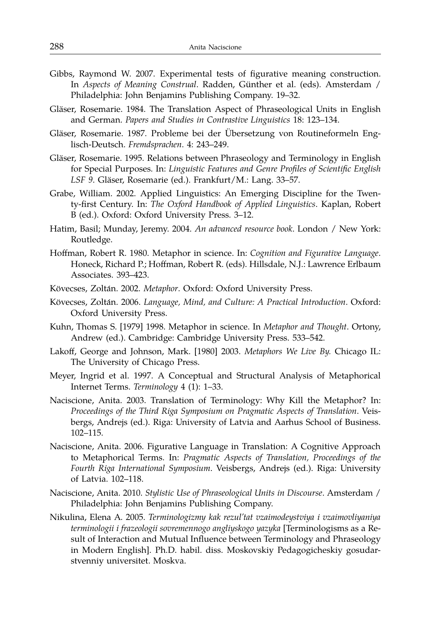- Gibbs, Raymond W. 2007. Experimental tests of figurative meaning construction. In *Aspects of Meaning Construal*. Radden, Günther et al. (eds). Amsterdam / Philadelphia: John Benjamins Publishing Company. 19–32.
- Gläser, Rosemarie. 1984. The Translation Aspect of Phraseological Units in English and German. *Papers and Studies in Contrastive Linguistics* 18: 123–134.
- Gläser, Rosemarie. 1987. Probleme bei der Übersetzung von Routineformeln Englisch-Deutsch. *Fremdsprachen*. 4: 243–249.
- Gläser, Rosemarie. 1995. Relations between Phraseology and Terminology in English for Special Purposes. In: *Linguistic Features and Genre Profiles of Scientific English* LSF 9. Gläser, Rosemarie (ed.). Frankfurt/M.: Lang. 33-57.
- Grabe, William. 2002. Applied Linguistics: An Emerging Discipline for the Twenty-first Century. In: *The Oxford Handbook of Applied Linguistics*. Kaplan, Robert B (ed.). Oxford: Oxford University Press. 3–12.
- Hatim, Basil; Munday, Jeremy. 2004. *An advanced resource book*. London / New York: Routledge.
- Hoffman, Robert R. 1980. Metaphor in science. In: *Cognition and Figurative Language*. Honeck, Richard P.; Hoffman, Robert R. (eds). Hillsdale, N.J.: Lawrence Erlbaum Associates. 393–423.
- Kövecses, Zoltán. 2002. Metaphor. Oxford: Oxford University Press.
- Kövecses, Zoltán. 2006. Language, Mind, and Culture: A Practical Introduction. Oxford: Oxford University Press.
- Kuhn, Thomas S. [1979] 1998. Metaphor in science. In *Metaphor and Thought*. Ortony, Andrew (ed.). Cambridge: Cambridge University Press. 533–542.
- Lakoff, George and Johnson, Mark. [1980] 2003. *Metaphors We Live By.* Chicago IL: The University of Chicago Press.
- Meyer, Ingrid et al. 1997. A Conceptual and Structural Analysis of Metaphorical Internet Terms. *Terminology* 4 (1): 1–33.
- Naciscione, Anita. 2003. Translation of Terminology: Why Kill the Metaphor? In: *Proceedings of the Third Riga Symposium on Pragmatic Aspects of Translation*. Veisbergs, Andrejs (ed.). Riga: University of Latvia and Aarhus School of Business. 102–115.
- Naciscione, Anita. 2006. Figurative Language in Translation: A Cognitive Approach to Metaphorical Terms. In: *Pragmatic Aspects of Translation, Proceedings of the Fourth Riga International Symposium*. Veisbergs, Andrejs (ed.). Riga: University of Latvia. 102–118.
- Naciscione, Anita. 2010. *Stylistic Use of Phraseological Units in Discourse*. Amsterdam / Philadelphia: John Benjamins Publishing Company.
- Nikulina, Elena A. 2005. *Terminologizmy kak rezul'tat vzaimodeystviya i vzaimovliyaniya terminologii i frazeologii sovremennogo angliyskogo yazyka* [Terminologisms as a Result of Interaction and Mutual Influence between Terminology and Phraseology in Modern English]. Ph.D. habil. diss. Moskovskiy Pedagogicheskiy gosudarstvenniy universitet. Moskva.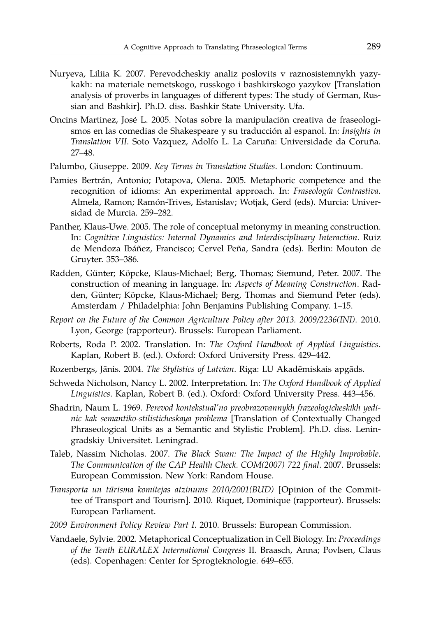- Nuryeva, Liliia K. 2007. Perevodcheskiy analiz poslovits v raznosistemnykh yazykakh: na materiale nemetskogo, russkogo i bashkirskogo yazykov [Translation analysis of proverbs in languages of different types: The study of German, Russian and Bashkir]. Ph.D. diss. Bashkir State University. Ufa.
- Oncins Martinez, José L. 2005. Notas sobre la manipulaciön creativa de fraseologismos en las comedias de Shakespeare y su traducción al espanol. In: *Insights in Translation VII*. Soto Vazquez, Adolfo L. La Caruña: Universidade da Coruña. 27–48.
- Palumbo, Giuseppe. 2009. *Key Terms in Translation Studies*. London: Continuum.
- Pamies Bertrán, Antonio; Potapova, Olena. 2005. Metaphoric competence and the recognition of idioms: An experimental approach. In: *Fraseolog´ıa Contrastiva*. Almela, Ramon; Ramón-Trives, Estanislav; Wotjak, Gerd (eds). Murcia: Universidad de Murcia. 259–282.
- Panther, Klaus-Uwe. 2005. The role of conceptual metonymy in meaning construction. In: *Cognitive Linguistics: Internal Dynamics and Interdisciplinary Interaction*. Ruiz de Mendoza Ibáñez, Francisco; Cervel Peña, Sandra (eds). Berlin: Mouton de Gruyter. 353–386.
- Radden, Günter; Köpcke, Klaus-Michael; Berg, Thomas; Siemund, Peter. 2007. The construction of meaning in language. In: *Aspects of Meaning Construction*. Radden, Günter; Köpcke, Klaus-Michael; Berg, Thomas and Siemund Peter (eds). Amsterdam / Philadelphia: John Benjamins Publishing Company. 1–15.
- *Report on the Future of the Common Agriculture Policy after 2013. 2009/2236(INI)*. 2010. Lyon, George (rapporteur). Brussels: European Parliament.
- Roberts, Roda P. 2002. Translation. In: *The Oxford Handbook of Applied Linguistics*. Kaplan, Robert B. (ed.). Oxford: Oxford University Press. 429–442.
- Rozenbergs, Jānis. 2004. *The Stylistics of Latvian*. Riga: LU Akadēmiskais apgāds.
- Schweda Nicholson, Nancy L. 2002. Interpretation. In: *The Oxford Handbook of Applied Linguistics*. Kaplan, Robert B. (ed.). Oxford: Oxford University Press. 443–456.
- Shadrin, Naum L. 1969. *Perevod kontekstual'no preobrazovannykh frazeologicheskikh yedinic kak semantiko-stilisticheskaya problema* [Translation of Contextually Changed Phraseological Units as a Semantic and Stylistic Problem]. Ph.D. diss. Leningradskiy Universitet. Leningrad.
- Taleb, Nassim Nicholas. 2007. *The Black Swan: The Impact of the Highly Improbable. The Communication of the CAP Health Check. COM(2007) 722 final*. 2007. Brussels: European Commission. New York: Random House.
- *Transporta un tūrisma komitejas atzinums 2010/2001(BUD)* [Opinion of the Committee of Transport and Tourism]. 2010. Riquet, Dominique (rapporteur). Brussels: European Parliament.
- *2009 Environment Policy Review Part I*. 2010. Brussels: European Commission.
- Vandaele, Sylvie. 2002. Metaphorical Conceptualization in Cell Biology. In: *Proceedings of the Tenth EURALEX International Congress* II. Braasch, Anna; Povlsen, Claus (eds). Copenhagen: Center for Sprogteknologie. 649–655.